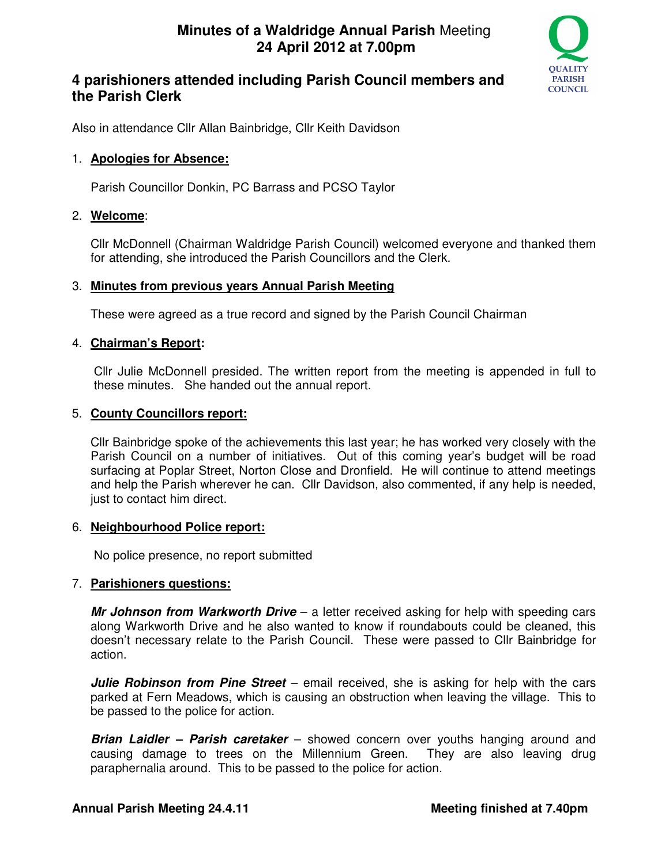

# **4 parishioners attended including Parish Council members and the Parish Clerk**

Also in attendance Cllr Allan Bainbridge, Cllr Keith Davidson

### 1. **Apologies for Absence:**

Parish Councillor Donkin, PC Barrass and PCSO Taylor

## 2. **Welcome**:

Cllr McDonnell (Chairman Waldridge Parish Council) welcomed everyone and thanked them for attending, she introduced the Parish Councillors and the Clerk.

### 3. **Minutes from previous years Annual Parish Meeting**

These were agreed as a true record and signed by the Parish Council Chairman

## 4. **Chairman's Report:**

 Cllr Julie McDonnell presided. The written report from the meeting is appended in full to these minutes. She handed out the annual report.

## 5. **County Councillors report:**

Cllr Bainbridge spoke of the achievements this last year; he has worked very closely with the Parish Council on a number of initiatives. Out of this coming year's budget will be road surfacing at Poplar Street, Norton Close and Dronfield. He will continue to attend meetings and help the Parish wherever he can. Cllr Davidson, also commented, if any help is needed, just to contact him direct.

### 6. **Neighbourhood Police report:**

No police presence, no report submitted

### 7. **Parishioners questions:**

**Mr Johnson from Warkworth Drive** – a letter received asking for help with speeding cars along Warkworth Drive and he also wanted to know if roundabouts could be cleaned, this doesn't necessary relate to the Parish Council. These were passed to Cllr Bainbridge for action.

**Julie Robinson from Pine Street** – email received, she is asking for help with the cars parked at Fern Meadows, which is causing an obstruction when leaving the village. This to be passed to the police for action.

**Brian Laidler – Parish caretaker** – showed concern over youths hanging around and causing damage to trees on the Millennium Green. They are also leaving drug paraphernalia around. This to be passed to the police for action.